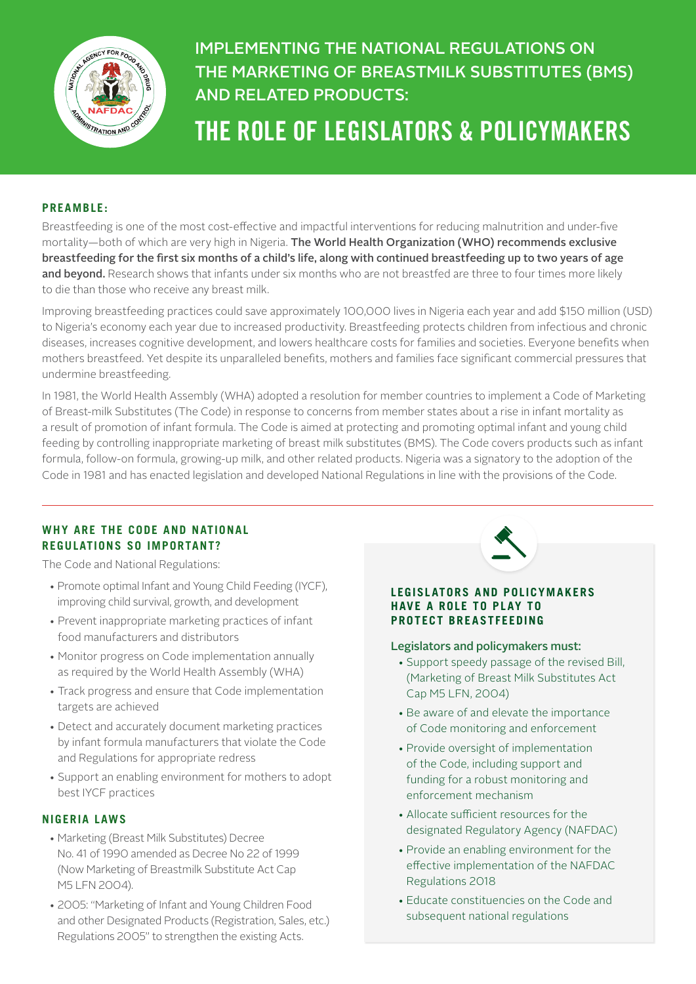

# IMPLEMENTING THE NATIONAL REGULATIONS ON THE MARKETING OF BREASTMILK SUBSTITUTES (BMS) AND RELATED PRODUCTS:

# THE ROLE OF LEGISLATORS & POLICYMAKERS

#### **PREAMBLE:**

Breastfeeding is one of the most cost-effective and impactful interventions for reducing malnutrition and under-five mortality—both of which are very high in Nigeria. The World Health Organization (WHO) recommends exclusive breastfeeding for the first six months of a child's life, along with continued breastfeeding up to two years of age and beyond. Research shows that infants under six months who are not breastfed are three to four times more likely to die than those who receive any breast milk.

Improving breastfeeding practices could save approximately 100,000 lives in Nigeria each year and add \$150 million (USD) to Nigeria's economy each year due to increased productivity. Breastfeeding protects children from infectious and chronic diseases, increases cognitive development, and lowers healthcare costs for families and societies. Everyone benefits when mothers breastfeed. Yet despite its unparalleled benefits, mothers and families face significant commercial pressures that undermine breastfeeding.

In 1981, the World Health Assembly (WHA) adopted a resolution for member countries to implement a Code of Marketing of Breast-milk Substitutes (The Code) in response to concerns from member states about a rise in infant mortality as a result of promotion of infant formula. The Code is aimed at protecting and promoting optimal infant and young child feeding by controlling inappropriate marketing of breast milk substitutes (BMS). The Code covers products such as infant formula, follow-on formula, growing-up milk, and other related products. Nigeria was a signatory to the adoption of the Code in 1981 and has enacted legislation and developed National Regulations in line with the provisions of the Code.

## **WHY ARE THE CODE AND NATIONAL REGULATIONS SO IMPORTANT?**

The Code and National Regulations:

- Promote optimal Infant and Young Child Feeding (IYCF), improving child survival, growth, and development
- Prevent inappropriate marketing practices of infant food manufacturers and distributors
- Monitor progress on Code implementation annually as required by the World Health Assembly (WHA)
- Track progress and ensure that Code implementation targets are achieved
- Detect and accurately document marketing practices by infant formula manufacturers that violate the Code and Regulations for appropriate redress
- Support an enabling environment for mothers to adopt best IYCF practices

#### **NIGERIA LAWS**

- Marketing (Breast Milk Substitutes) Decree No. 41 of 1990 amended as Decree No 22 of 1999 (Now Marketing of Breastmilk Substitute Act Cap M5 LFN 2004).
- 2005: "Marketing of Infant and Young Children Food and other Designated Products (Registration, Sales, etc.) Regulations 2005" to strengthen the existing Acts.



#### **LEGISL ATORS AND POLICYMAKERS HAVE A ROLE TO PLAY TO PROTECT BREASTFEEDING**

#### Legislators and policymakers must:

- Support speedy passage of the revised Bill, (Marketing of Breast Milk Substitutes Act Cap M5 LFN, 2004)
- Be aware of and elevate the importance of Code monitoring and enforcement
- Provide oversight of implementation of the Code, including support and funding for a robust monitoring and enforcement mechanism
- Allocate sufficient resources for the designated Regulatory Agency (NAFDAC)
- Provide an enabling environment for the effective implementation of the NAFDAC Regulations 2018
- Educate constituencies on the Code and subsequent national regulations